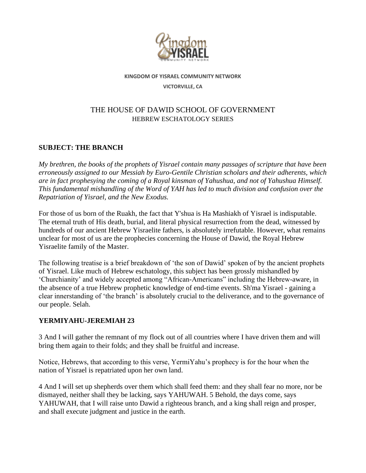

**KINGDOM OF YISRAEL COMMUNITY NETWORK**

**VICTORVILLE, CA**

# THE HOUSE OF DAWID SCHOOL OF GOVERNMENT HEBREW ESCHATOLOGY SERIES

## **SUBJECT: THE BRANCH**

*My brethren, the books of the prophets of Yisrael contain many passages of scripture that have been erroneously assigned to our Messiah by Euro-Gentile Christian scholars and their adherents, which are in fact prophesying the coming of a Royal kinsman of Yahushua, and not of Yahushua Himself. This fundamental mishandling of the Word of YAH has led to much division and confusion over the Repatriation of Yisrael, and the New Exodus.* 

For those of us born of the Ruakh, the fact that Y'shua is Ha Mashiakh of Yisrael is indisputable. The eternal truth of His death, burial, and literal physical resurrection from the dead, witnessed by hundreds of our ancient Hebrew Yisraelite fathers, is absolutely irrefutable. However, what remains unclear for most of us are the prophecies concerning the House of Dawid, the Royal Hebrew Yisraelite family of the Master.

The following treatise is a brief breakdown of 'the son of Dawid' spoken of by the ancient prophets of Yisrael. Like much of Hebrew eschatology, this subject has been grossly mishandled by 'Churchianity' and widely accepted among "African-Americans" including the Hebrew-aware, in the absence of a true Hebrew prophetic knowledge of end-time events. Sh'ma Yisrael - gaining a clear innerstanding of 'the branch' is absolutely crucial to the deliverance, and to the governance of our people. Selah.

# **YERMIYAHU-JEREMIAH 23**

3 And I will gather the remnant of my flock out of all countries where I have driven them and will bring them again to their folds; and they shall be fruitful and increase.

Notice, Hebrews, that according to this verse, YermiYahu's prophecy is for the hour when the nation of Yisrael is repatriated upon her own land.

4 And I will set up shepherds over them which shall feed them: and they shall fear no more, nor be dismayed, neither shall they be lacking, says YAHUWAH. 5 Behold, the days come, says YAHUWAH, that I will raise unto Dawid a righteous branch, and a king shall reign and prosper, and shall execute judgment and justice in the earth.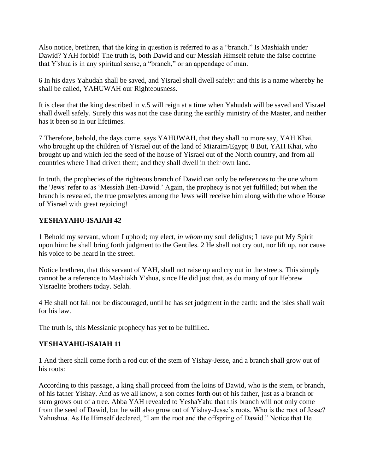Also notice, brethren, that the king in question is referred to as a "branch." Is Mashiakh under Dawid? YAH forbid! The truth is, both Dawid and our Messiah Himself refute the false doctrine that Y'shua is in any spiritual sense, a "branch," or an appendage of man.

6 In his days Yahudah shall be saved, and Yisrael shall dwell safely: and this is a name whereby he shall be called, YAHUWAH our Righteousness.

It is clear that the king described in v.5 will reign at a time when Yahudah will be saved and Yisrael shall dwell safely. Surely this was not the case during the earthly ministry of the Master, and neither has it been so in our lifetimes.

7 Therefore, behold, the days come, says YAHUWAH, that they shall no more say, YAH Khai, who brought up the children of Yisrael out of the land of Mizraim/Egypt; 8 But, YAH Khai, who brought up and which led the seed of the house of Yisrael out of the North country, and from all countries where I had driven them; and they shall dwell in their own land.

In truth, the prophecies of the righteous branch of Dawid can only be references to the one whom the 'Jews' refer to as 'Messiah Ben-Dawid.' Again, the prophecy is not yet fulfilled; but when the branch is revealed, the true proselytes among the Jews will receive him along with the whole House of Yisrael with great rejoicing!

#### **YESHAYAHU-ISAIAH 42**

1 Behold my servant, whom I uphold; my elect, *in whom* my soul delights; I have put My Spirit upon him: he shall bring forth judgment to the Gentiles. 2 He shall not cry out, nor lift up, nor cause his voice to be heard in the street.

Notice brethren, that this servant of YAH, shall not raise up and cry out in the streets. This simply cannot be a reference to Mashiakh Y'shua, since He did just that, as do many of our Hebrew Yisraelite brothers today. Selah.

4 He shall not fail nor be discouraged, until he has set judgment in the earth: and the isles shall wait for his law.

The truth is, this Messianic prophecy has yet to be fulfilled.

#### **YESHAYAHU-ISAIAH 11**

1 And there shall come forth a rod out of the stem of Yishay-Jesse, and a branch shall grow out of his roots:

According to this passage, a king shall proceed from the loins of Dawid, who is the stem, or branch, of his father Yishay. And as we all know, a son comes forth out of his father, just as a branch or stem grows out of a tree. Abba YAH revealed to YeshaYahu that this branch will not only come from the seed of Dawid, but he will also grow out of Yishay-Jesse's roots. Who is the root of Jesse? Yahushua. As He Himself declared, "I am the root and the offspring of Dawid." Notice that He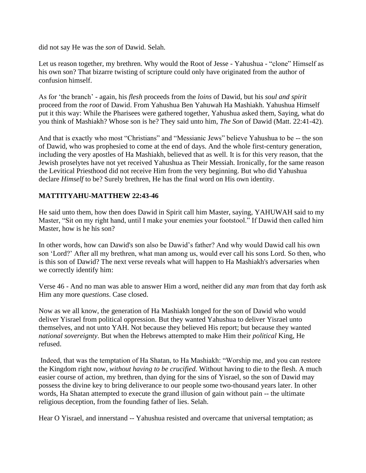did not say He was the *son* of Dawid. Selah.

Let us reason together, my brethren. Why would the Root of Jesse - Yahushua - "clone" Himself as his own son? That bizarre twisting of scripture could only have originated from the author of confusion himself.

As for 'the branch' - again, his *flesh* proceeds from the *loins* of Dawid, but his *soul and spirit* proceed from the *root* of Dawid. From Yahushua Ben Yahuwah Ha Mashiakh. Yahushua Himself put it this way: While the Pharisees were gathered together, Yahushua asked them, Saying, what do you think of Mashiakh? Whose son is he? They said unto him, *The Son* of Dawid (Matt. 22:41-42).

And that is exactly who most "Christians" and "Messianic Jews" believe Yahushua to be -- the son of Dawid, who was prophesied to come at the end of days. And the whole first-century generation, including the very apostles of Ha Mashiakh, believed that as well. It is for this very reason, that the Jewish proselytes have not yet received Yahushua as Their Messiah. Ironically, for the same reason the Levitical Priesthood did not receive Him from the very beginning. But who did Yahushua declare *Himself* to be? Surely brethren, He has the final word on His own identity.

## **MATTITYAHU-MATTHEW 22:43-46**

He said unto them, how then does Dawid in Spirit call him Master, saying, YAHUWAH said to my Master, "Sit on my right hand, until I make your enemies your footstool." If Dawid then called him Master, how is he his son?

In other words, how can Dawid's son also be Dawid's father? And why would Dawid call his own son 'Lord?' After all my brethren, what man among us, would ever call his sons Lord. So then, who is this son of Dawid? The next verse reveals what will happen to Ha Mashiakh's adversaries when we correctly identify him:

Verse 46 - And no man was able to answer Him a word, neither did any *man* from that day forth ask Him any more *questions*. Case closed.

Now as we all know, the generation of Ha Mashiakh longed for the son of Dawid who would deliver Yisrael from political oppression. But they wanted Yahushua to deliver Yisrael unto themselves, and not unto YAH. Not because they believed His report; but because they wanted *national sovereignty*. But when the Hebrews attempted to make Him their *political* King, He refused.

Indeed, that was the temptation of Ha Shatan, to Ha Mashiakh: "Worship me, and you can restore the Kingdom right now, *without having to be crucified.* Without having to die to the flesh. A much easier course of action, my brethren, than dying for the sins of Yisrael, so the son of Dawid may possess the divine key to bring deliverance to our people some two-thousand years later. In other words, Ha Shatan attempted to execute the grand illusion of gain without pain -- the ultimate religious deception, from the founding father of lies. Selah.

Hear O Yisrael, and innerstand -- Yahushua resisted and overcame that universal temptation; as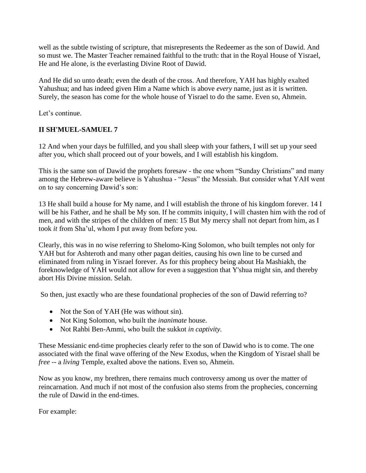well as the subtle twisting of scripture, that misrepresents the Redeemer as the son of Dawid. And so must we. The Master Teacher remained faithful to the truth: that in the Royal House of Yisrael, He and He alone, is the everlasting Divine Root of Dawid.

And He did so unto death; even the death of the cross. And therefore, YAH has highly exalted Yahushua; and has indeed given Him a Name which is above *every* name, just as it is written. Surely, the season has come for the whole house of Yisrael to do the same. Even so, Ahmein.

Let's continue.

# **II SH'MUEL-SAMUEL 7**

12 And when your days be fulfilled, and you shall sleep with your fathers, I will set up your seed after you, which shall proceed out of your bowels, and I will establish his kingdom.

This is the same son of Dawid the prophets foresaw - the one whom "Sunday Christians" and many among the Hebrew-aware believe is Yahushua - "Jesus" the Messiah. But consider what YAH went on to say concerning Dawid's son:

13 He shall build a house for My name, and I will establish the throne of his kingdom forever. 14 I will be his Father, and he shall be My son. If he commits iniquity, I will chasten him with the rod of men, and with the stripes of the children of men: 15 But My mercy shall not depart from him, as I took *it* from Sha'ul, whom I put away from before you.

Clearly, this was in no wise referring to Shelomo-King Solomon, who built temples not only for YAH but for Ashteroth and many other pagan deities, causing his own line to be cursed and eliminated from ruling in Yisrael forever. As for this prophecy being about Ha Mashiakh, the foreknowledge of YAH would not allow for even a suggestion that Y'shua might sin, and thereby abort His Divine mission. Selah.

So then, just exactly who are these foundational prophecies of the son of Dawid referring to?

- Not the Son of YAH (He was without sin).
- Not King Solomon, who built the *inanimate* house.
- Not Rahbi Ben-Ammi, who built the sukkot *in captivity.*

These Messianic end-time prophecies clearly refer to the son of Dawid who is to come. The one associated with the final wave offering of the New Exodus, when the Kingdom of Yisrael shall be *free --* a *living* Temple, exalted above the nations. Even so, Ahmein.

Now as you know, my brethren, there remains much controversy among us over the matter of reincarnation. And much if not most of the confusion also stems from the prophecies, concerning the rule of Dawid in the end-times.

For example: